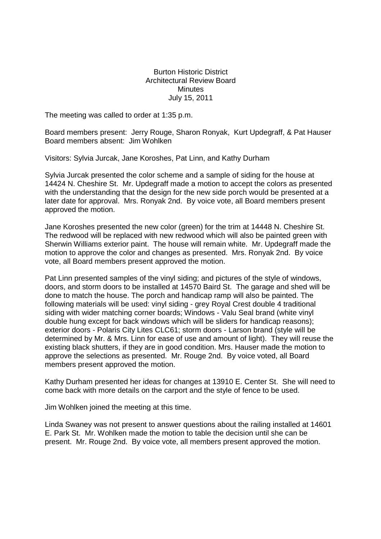## Burton Historic District Architectural Review Board **Minutes** July 15, 2011

The meeting was called to order at 1:35 p.m.

Board members present: Jerry Rouge, Sharon Ronyak, Kurt Updegraff, & Pat Hauser Board members absent: Jim Wohlken

Visitors: Sylvia Jurcak, Jane Koroshes, Pat Linn, and Kathy Durham

Sylvia Jurcak presented the color scheme and a sample of siding for the house at 14424 N. Cheshire St. Mr. Updegraff made a motion to accept the colors as presented with the understanding that the design for the new side porch would be presented at a later date for approval. Mrs. Ronyak 2nd. By voice vote, all Board members present approved the motion.

Jane Koroshes presented the new color (green) for the trim at 14448 N. Cheshire St. The redwood will be replaced with new redwood which will also be painted green with Sherwin Williams exterior paint. The house will remain white. Mr. Updegraff made the motion to approve the color and changes as presented. Mrs. Ronyak 2nd. By voice vote, all Board members present approved the motion.

Pat Linn presented samples of the vinyl siding; and pictures of the style of windows, doors, and storm doors to be installed at 14570 Baird St. The garage and shed will be done to match the house. The porch and handicap ramp will also be painted. The following materials will be used: vinyl siding - grey Royal Crest double 4 traditional siding with wider matching corner boards; Windows - Valu Seal brand (white vinyl double hung except for back windows which will be sliders for handicap reasons); exterior doors - Polaris City Lites CLC61; storm doors - Larson brand (style will be determined by Mr. & Mrs. Linn for ease of use and amount of light). They will reuse the existing black shutters, if they are in good condition. Mrs. Hauser made the motion to approve the selections as presented. Mr. Rouge 2nd. By voice voted, all Board members present approved the motion.

Kathy Durham presented her ideas for changes at 13910 E. Center St. She will need to come back with more details on the carport and the style of fence to be used.

Jim Wohlken joined the meeting at this time.

Linda Swaney was not present to answer questions about the railing installed at 14601 E. Park St. Mr. Wohlken made the motion to table the decision until she can be present. Mr. Rouge 2nd. By voice vote, all members present approved the motion.